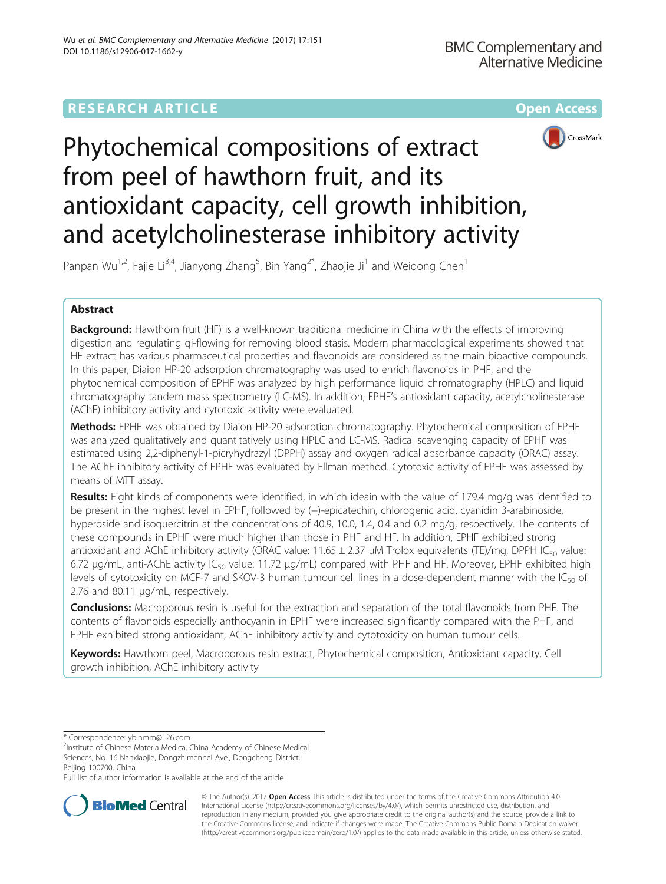# **RESEARCH ARTICLE Example 2014 12:30 The Community Community Community Community Community Community Community**



# Phytochemical compositions of extract from peel of hawthorn fruit, and its antioxidant capacity, cell growth inhibition, and acetylcholinesterase inhibitory activity

Panpan Wu<sup>1,2</sup>, Fajie Li<sup>3,4</sup>, Jianyong Zhang<sup>5</sup>, Bin Yang<sup>2\*</sup>, Zhaojie Ji<sup>1</sup> and Weidong Chen<sup>1</sup>

# Abstract

Background: Hawthorn fruit (HF) is a well-known traditional medicine in China with the effects of improving digestion and regulating qi-flowing for removing blood stasis. Modern pharmacological experiments showed that HF extract has various pharmaceutical properties and flavonoids are considered as the main bioactive compounds. In this paper, Diaion HP-20 adsorption chromatography was used to enrich flavonoids in PHF, and the phytochemical composition of EPHF was analyzed by high performance liquid chromatography (HPLC) and liquid chromatography tandem mass spectrometry (LC-MS). In addition, EPHF's antioxidant capacity, acetylcholinesterase (AChE) inhibitory activity and cytotoxic activity were evaluated.

Methods: EPHF was obtained by Diaion HP-20 adsorption chromatography. Phytochemical composition of EPHF was analyzed qualitatively and quantitatively using HPLC and LC-MS. Radical scavenging capacity of EPHF was estimated using 2,2-diphenyl-1-picryhydrazyl (DPPH) assay and oxygen radical absorbance capacity (ORAC) assay. The AChE inhibitory activity of EPHF was evaluated by Ellman method. Cytotoxic activity of EPHF was assessed by means of MTT assay.

**Results:** Eight kinds of components were identified, in which ideain with the value of 179.4 mg/g was identified to be present in the highest level in EPHF, followed by (−)-epicatechin, chlorogenic acid, cyanidin 3-arabinoside, hyperoside and isoquercitrin at the concentrations of 40.9, 10.0, 1.4, 0.4 and 0.2 mg/g, respectively. The contents of these compounds in EPHF were much higher than those in PHF and HF. In addition, EPHF exhibited strong antioxidant and AChE inhibitory activity (ORAC value:  $11.65 \pm 2.37 \mu$ M Trolox equivalents (TE)/mg, DPPH IC<sub>50</sub> value: 6.72 μg/mL, anti-AChE activity IC<sub>50</sub> value: 11.72 μg/mL) compared with PHF and HF. Moreover, EPHF exhibited high levels of cytotoxicity on MCF-7 and SKOV-3 human tumour cell lines in a dose-dependent manner with the  $IC_{50}$  of 2.76 and 80.11 μg/mL, respectively.

**Conclusions:** Macroporous resin is useful for the extraction and separation of the total flavonoids from PHF. The contents of flavonoids especially anthocyanin in EPHF were increased significantly compared with the PHF, and EPHF exhibited strong antioxidant, AChE inhibitory activity and cytotoxicity on human tumour cells.

Keywords: Hawthorn peel, Macroporous resin extract, Phytochemical composition, Antioxidant capacity, Cell growth inhibition, AChE inhibitory activity

\* Correspondence: [ybinmm@126.com](mailto:ybinmm@126.com) <sup>2</sup>

<sup>2</sup>Institute of Chinese Materia Medica, China Academy of Chinese Medical Sciences, No. 16 Nanxiaojie, Dongzhimennei Ave., Dongcheng District, Beijing 100700, China

Full list of author information is available at the end of the article



© The Author(s). 2017 **Open Access** This article is distributed under the terms of the Creative Commons Attribution 4.0 International License [\(http://creativecommons.org/licenses/by/4.0/](http://creativecommons.org/licenses/by/4.0/)), which permits unrestricted use, distribution, and reproduction in any medium, provided you give appropriate credit to the original author(s) and the source, provide a link to the Creative Commons license, and indicate if changes were made. The Creative Commons Public Domain Dedication waiver [\(http://creativecommons.org/publicdomain/zero/1.0/](http://creativecommons.org/publicdomain/zero/1.0/)) applies to the data made available in this article, unless otherwise stated.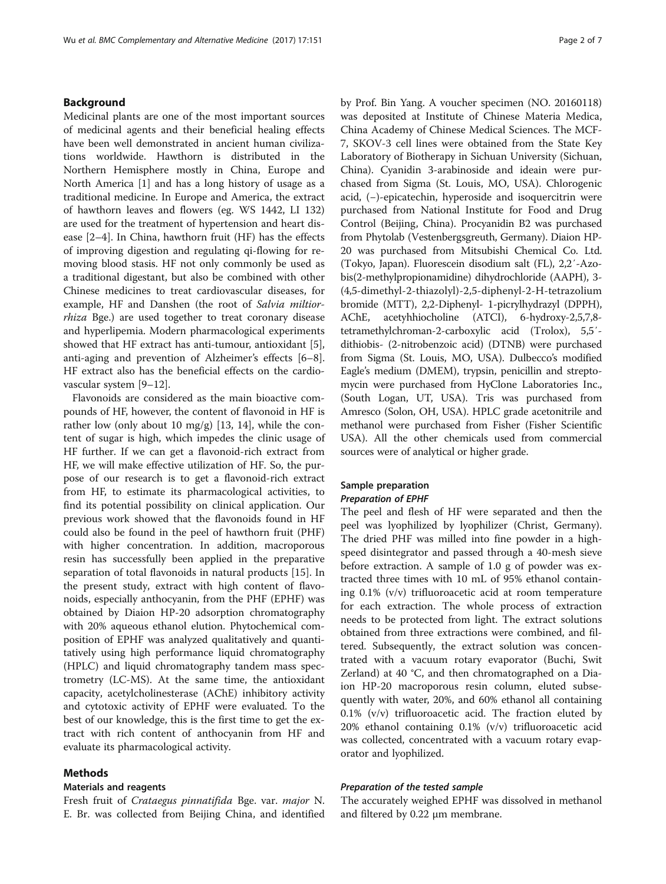# Background

Medicinal plants are one of the most important sources of medicinal agents and their beneficial healing effects have been well demonstrated in ancient human civilizations worldwide. Hawthorn is distributed in the Northern Hemisphere mostly in China, Europe and North America [[1\]](#page-5-0) and has a long history of usage as a traditional medicine. In Europe and America, the extract of hawthorn leaves and flowers (eg. WS 1442, LI 132) are used for the treatment of hypertension and heart disease [\[2](#page-5-0)–[4\]](#page-6-0). In China, hawthorn fruit (HF) has the effects of improving digestion and regulating qi-flowing for removing blood stasis. HF not only commonly be used as a traditional digestant, but also be combined with other Chinese medicines to treat cardiovascular diseases, for example, HF and Danshen (the root of Salvia miltiorrhiza Bge.) are used together to treat coronary disease and hyperlipemia. Modern pharmacological experiments showed that HF extract has anti-tumour, antioxidant [\[5](#page-6-0)], anti-aging and prevention of Alzheimer's effects [\[6](#page-6-0)–[8](#page-6-0)]. HF extract also has the beneficial effects on the cardiovascular system [[9](#page-6-0)–[12](#page-6-0)].

Flavonoids are considered as the main bioactive compounds of HF, however, the content of flavonoid in HF is rather low (only about 10 mg/g) [[13, 14](#page-6-0)], while the content of sugar is high, which impedes the clinic usage of HF further. If we can get a flavonoid-rich extract from HF, we will make effective utilization of HF. So, the purpose of our research is to get a flavonoid-rich extract from HF, to estimate its pharmacological activities, to find its potential possibility on clinical application. Our previous work showed that the flavonoids found in HF could also be found in the peel of hawthorn fruit (PHF) with higher concentration. In addition, macroporous resin has successfully been applied in the preparative separation of total flavonoids in natural products [[15\]](#page-6-0). In the present study, extract with high content of flavonoids, especially anthocyanin, from the PHF (EPHF) was obtained by Diaion HP-20 adsorption chromatography with 20% aqueous ethanol elution. Phytochemical composition of EPHF was analyzed qualitatively and quantitatively using high performance liquid chromatography (HPLC) and liquid chromatography tandem mass spectrometry (LC-MS). At the same time, the antioxidant capacity, acetylcholinesterase (AChE) inhibitory activity and cytotoxic activity of EPHF were evaluated. To the best of our knowledge, this is the first time to get the extract with rich content of anthocyanin from HF and evaluate its pharmacological activity.

# Methods

# Materials and reagents

Fresh fruit of Crataegus pinnatifida Bge. var. major N. E. Br. was collected from Beijing China, and identified by Prof. Bin Yang. A voucher specimen (NO. 20160118) was deposited at Institute of Chinese Materia Medica, China Academy of Chinese Medical Sciences. The MCF-7, SKOV-3 cell lines were obtained from the State Key Laboratory of Biotherapy in Sichuan University (Sichuan, China). Cyanidin 3-arabinoside and ideain were purchased from Sigma (St. Louis, MO, USA). Chlorogenic acid, (−)-epicatechin, hyperoside and isoquercitrin were purchased from National Institute for Food and Drug Control (Beijing, China). Procyanidin B2 was purchased from Phytolab (Vestenbergsgreuth, Germany). Diaion HP-20 was purchased from Mitsubishi Chemical Co. Ltd. (Tokyo, Japan). Fluorescein disodium salt (FL), 2,2′-Azobis(2-methylpropionamidine) dihydrochloride (AAPH), 3- (4,5-dimethyl-2-thiazolyl)-2,5-diphenyl-2-H-tetrazolium bromide (MTT), 2,2-Diphenyl- 1-picrylhydrazyl (DPPH), AChE, acetyhhiocholine (ATCI), 6-hydroxy-2,5,7,8 tetramethylchroman-2-carboxylic acid (Trolox), 5,5′ dithiobis- (2-nitrobenzoic acid) (DTNB) were purchased from Sigma (St. Louis, MO, USA). Dulbecco's modified Eagle's medium (DMEM), trypsin, penicillin and streptomycin were purchased from HyClone Laboratories Inc., (South Logan, UT, USA). Tris was purchased from Amresco (Solon, OH, USA). HPLC grade acetonitrile and methanol were purchased from Fisher (Fisher Scientific USA). All the other chemicals used from commercial sources were of analytical or higher grade.

# Sample preparation Preparation of EPHF

The peel and flesh of HF were separated and then the peel was lyophilized by lyophilizer (Christ, Germany). The dried PHF was milled into fine powder in a highspeed disintegrator and passed through a 40-mesh sieve before extraction. A sample of 1.0 g of powder was extracted three times with 10 mL of 95% ethanol containing 0.1% (v/v) trifluoroacetic acid at room temperature for each extraction. The whole process of extraction needs to be protected from light. The extract solutions obtained from three extractions were combined, and filtered. Subsequently, the extract solution was concentrated with a vacuum rotary evaporator (Buchi, Swit Zerland) at 40 °C, and then chromatographed on a Diaion HP-20 macroporous resin column, eluted subsequently with water, 20%, and 60% ethanol all containing 0.1% (v/v) trifluoroacetic acid. The fraction eluted by 20% ethanol containing 0.1% (v/v) trifluoroacetic acid was collected, concentrated with a vacuum rotary evaporator and lyophilized.

#### Preparation of the tested sample

The accurately weighed EPHF was dissolved in methanol and filtered by 0.22 μm membrane.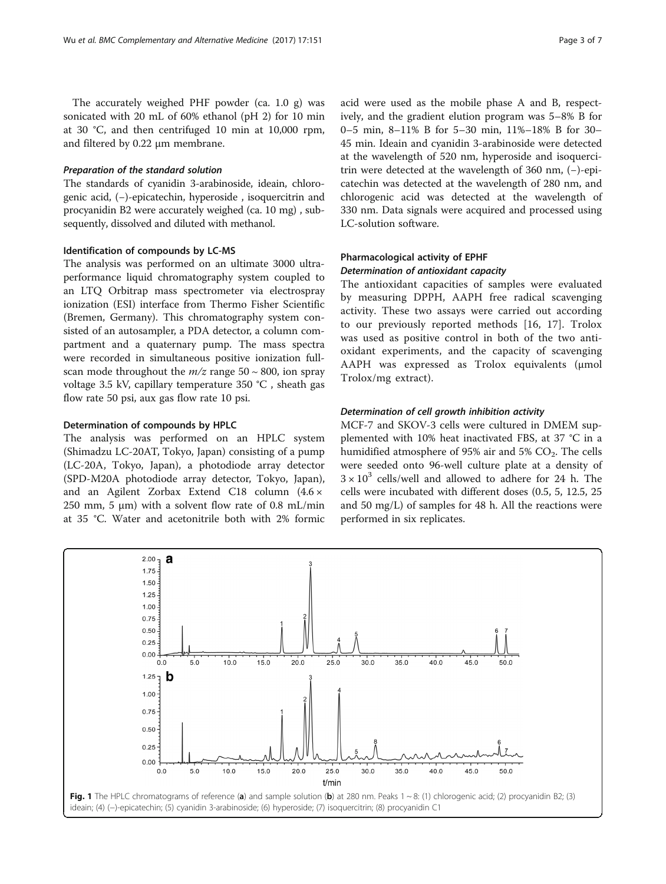<span id="page-2-0"></span>The accurately weighed PHF powder (ca. 1.0 g) was sonicated with 20 mL of 60% ethanol (pH 2) for 10 min at 30 °C, and then centrifuged 10 min at 10,000 rpm, and filtered by 0.22 μm membrane.

#### Preparation of the standard solution

The standards of cyanidin 3-arabinoside, ideain, chlorogenic acid, (−)-epicatechin, hyperoside , isoquercitrin and procyanidin B2 were accurately weighed (ca. 10 mg) , subsequently, dissolved and diluted with methanol.

# Identification of compounds by LC-MS

The analysis was performed on an ultimate 3000 ultraperformance liquid chromatography system coupled to an LTQ Orbitrap mass spectrometer via electrospray ionization (ESI) interface from Thermo Fisher Scientific (Bremen, Germany). This chromatography system consisted of an autosampler, a PDA detector, a column compartment and a quaternary pump. The mass spectra were recorded in simultaneous positive ionization fullscan mode throughout the  $m/z$  range 50 ~ 800, ion spray voltage 3.5 kV, capillary temperature 350 °C , sheath gas flow rate 50 psi, aux gas flow rate 10 psi.

#### Determination of compounds by HPLC

The analysis was performed on an HPLC system (Shimadzu LC-20AT, Tokyo, Japan) consisting of a pump (LC-20A, Tokyo, Japan), a photodiode array detector (SPD-M20A photodiode array detector, Tokyo, Japan), and an Agilent Zorbax Extend C18 column (4.6 × 250 mm, 5  $\mu$ m) with a solvent flow rate of 0.8 mL/min at 35 °C. Water and acetonitrile both with 2% formic acid were used as the mobile phase A and B, respectively, and the gradient elution program was 5–8% B for 0–5 min, 8–11% B for 5–30 min, 11%–18% B for 30– 45 min. Ideain and cyanidin 3-arabinoside were detected at the wavelength of 520 nm, hyperoside and isoquercitrin were detected at the wavelength of 360 nm, (−)-epicatechin was detected at the wavelength of 280 nm, and chlorogenic acid was detected at the wavelength of 330 nm. Data signals were acquired and processed using LC-solution software.

# Pharmacological activity of EPHF Determination of antioxidant capacity

The antioxidant capacities of samples were evaluated by measuring DPPH, AAPH free radical scavenging activity. These two assays were carried out according to our previously reported methods [[16, 17](#page-6-0)]. Trolox was used as positive control in both of the two antioxidant experiments, and the capacity of scavenging AAPH was expressed as Trolox equivalents (μmol Trolox/mg extract).

# Determination of cell growth inhibition activity

MCF-7 and SKOV-3 cells were cultured in DMEM supplemented with 10% heat inactivated FBS, at 37 °C in a humidified atmosphere of 95% air and 5%  $CO<sub>2</sub>$ . The cells were seeded onto 96-well culture plate at a density of  $3 \times 10^3$  cells/well and allowed to adhere for 24 h. The cells were incubated with different doses (0.5, 5, 12.5, 25 and 50 mg/L) of samples for 48 h. All the reactions were performed in six replicates.

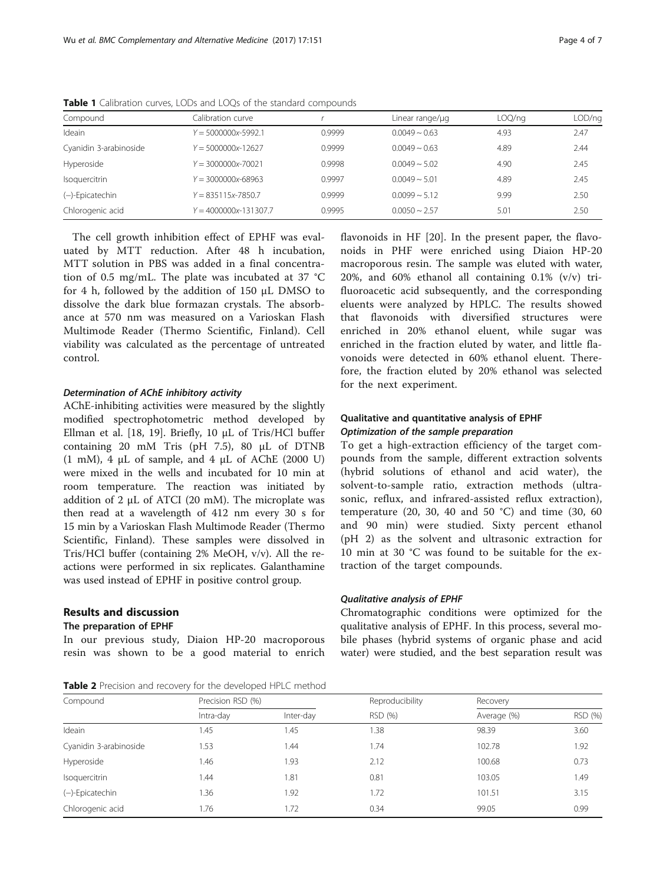| Compound               | Calibration curve         |        | Linear range/ug       | LOQ/ng | LOD/ng |
|------------------------|---------------------------|--------|-----------------------|--------|--------|
| Ideain                 | $Y = 5000000x - 5992.1$   | 0.9999 | $0.0049 \sim 0.63$    | 4.93   | 2.47   |
| Cyanidin 3-arabinoside | $Y = 5000000x - 12627$    | 0.9999 | $0.0049 \sim 0.63$    | 4.89   | 2.44   |
| Hyperoside             | $Y = 3000000x - 70021$    | 0.9998 | $0.0049 \approx 5.02$ | 4.90   | 2.45   |
| Isoquercitrin          | $Y = 3000000x - 68963$    | 0.9997 | $0.0049 - 5.01$       | 4.89   | 2.45   |
| (-)-Epicatechin        | $Y = 835115x - 7850.7$    | 0.9999 | $0.0099 \approx 5.12$ | 9.99   | 2.50   |
| Chlorogenic acid       | $Y = 4000000x - 131307.7$ | 0.9995 | $0.0050 \approx 2.57$ | 5.01   | 2.50   |

<span id="page-3-0"></span>Table 1 Calibration curves, LODs and LOQs of the standard compounds

The cell growth inhibition effect of EPHF was evaluated by MTT reduction. After 48 h incubation, MTT solution in PBS was added in a final concentration of 0.5 mg/mL. The plate was incubated at 37 °C for 4 h, followed by the addition of 150 μL DMSO to dissolve the dark blue formazan crystals. The absorbance at 570 nm was measured on a Varioskan Flash Multimode Reader (Thermo Scientific, Finland). Cell viability was calculated as the percentage of untreated control.

#### Determination of AChE inhibitory activity

AChE-inhibiting activities were measured by the slightly modified spectrophotometric method developed by Ellman et al. [\[18, 19\]](#page-6-0). Briefly, 10 μL of Tris/HCl buffer containing 20 mM Tris (pH 7.5), 80 μL of DTNB (1 mM), 4  $\mu$ L of sample, and 4  $\mu$ L of AChE (2000 U) were mixed in the wells and incubated for 10 min at room temperature. The reaction was initiated by addition of 2 μL of ATCI (20 mM). The microplate was then read at a wavelength of 412 nm every 30 s for 15 min by a Varioskan Flash Multimode Reader (Thermo Scientific, Finland). These samples were dissolved in Tris/HCl buffer (containing 2% MeOH, v/v). All the reactions were performed in six replicates. Galanthamine was used instead of EPHF in positive control group.

# Results and discussion

## The preparation of EPHF

In our previous study, Diaion HP-20 macroporous resin was shown to be a good material to enrich

Table 2 Precision and recovery for the developed HPLC method

flavonoids in HF [[20\]](#page-6-0). In the present paper, the flavonoids in PHF were enriched using Diaion HP-20 macroporous resin. The sample was eluted with water, 20%, and 60% ethanol all containing 0.1% (v/v) trifluoroacetic acid subsequently, and the corresponding eluents were analyzed by HPLC. The results showed that flavonoids with diversified structures were enriched in 20% ethanol eluent, while sugar was enriched in the fraction eluted by water, and little flavonoids were detected in 60% ethanol eluent. Therefore, the fraction eluted by 20% ethanol was selected for the next experiment.

# Qualitative and quantitative analysis of EPHF Optimization of the sample preparation

To get a high-extraction efficiency of the target compounds from the sample, different extraction solvents (hybrid solutions of ethanol and acid water), the solvent-to-sample ratio, extraction methods (ultrasonic, reflux, and infrared-assisted reflux extraction), temperature (20, 30, 40 and 50 °C) and time (30, 60 and 90 min) were studied. Sixty percent ethanol (pH 2) as the solvent and ultrasonic extraction for 10 min at 30 °C was found to be suitable for the extraction of the target compounds.

# Qualitative analysis of EPHF

Chromatographic conditions were optimized for the qualitative analysis of EPHF. In this process, several mobile phases (hybrid systems of organic phase and acid water) were studied, and the best separation result was

| Compound               | Precision RSD (%) |           | Reproducibility | Recovery    |         |
|------------------------|-------------------|-----------|-----------------|-------------|---------|
|                        | Intra-day         | Inter-day | RSD (%)         | Average (%) | RSD (%) |
| Ideain                 | 1.45              | 1.45      | 1.38            | 98.39       | 3.60    |
| Cyanidin 3-arabinoside | 1.53              | .44       | 1.74            | 102.78      | 1.92    |
| Hyperoside             | 1.46              | 1.93      | 2.12            | 100.68      | 0.73    |
| Isoquercitrin          | 1.44              | 1.81      | 0.81            | 103.05      | 1.49    |
| (-)-Epicatechin        | 1.36              | 1.92      | 1.72            | 101.51      | 3.15    |
| Chlorogenic acid       | 1.76              | 1.72      | 0.34            | 99.05       | 0.99    |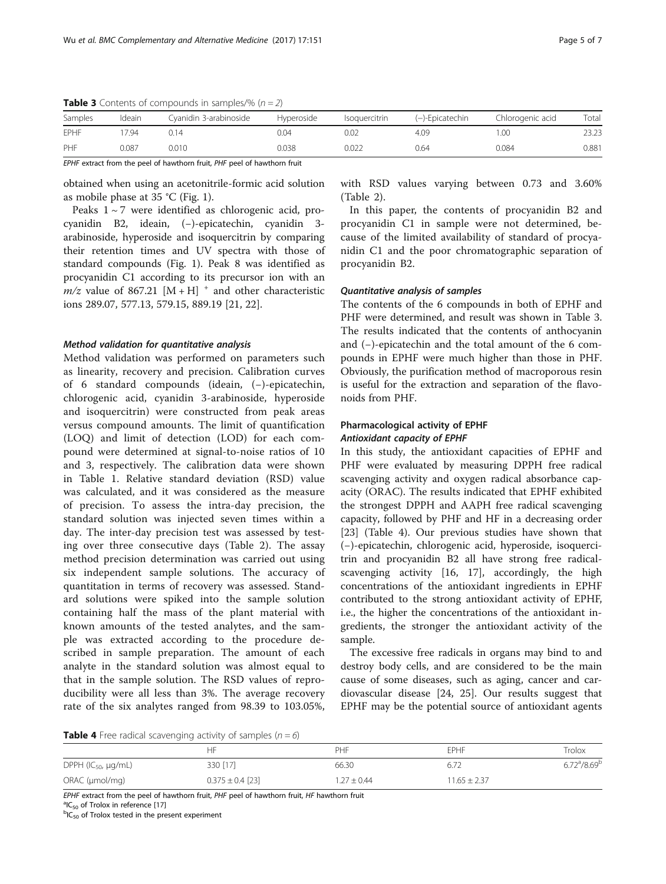| Samples | Ideain | Cyanidin 3-arabinoside | Hvperoside | Isoquercitrin | (–)-Epicatechin | Chlorogenic acid | Total |
|---------|--------|------------------------|------------|---------------|-----------------|------------------|-------|
| EPHF    | 794    | 0.14                   | 0.04       | 0.02          | 4.09            | .00              | 23.23 |
| PHF     | 0.087  | 0.010                  | 0.038      | 0.022         | 0.64            | 0.084            | 0.881 |

**Table 3** Contents of compounds in samples/%  $(n=2)$ 

EPHF extract from the peel of hawthorn fruit, PHF peel of hawthorn fruit

obtained when using an acetonitrile-formic acid solution as mobile phase at 35 °C (Fig. [1](#page-2-0)).

Peaks  $1 \sim 7$  were identified as chlorogenic acid, procyanidin B2, ideain, (−)-epicatechin, cyanidin 3 arabinoside, hyperoside and isoquercitrin by comparing their retention times and UV spectra with those of standard compounds (Fig. [1](#page-2-0)). Peak 8 was identified as procyanidin C1 according to its precursor ion with an  $m/z$  value of 867.21 [M + H]<sup>+</sup> and other characteristic ions 289.07, 577.13, 579.15, 889.19 [[21](#page-6-0), [22](#page-6-0)].

#### Method validation for quantitative analysis

Method validation was performed on parameters such as linearity, recovery and precision. Calibration curves of 6 standard compounds (ideain, (−)-epicatechin, chlorogenic acid, cyanidin 3-arabinoside, hyperoside and isoquercitrin) were constructed from peak areas versus compound amounts. The limit of quantification (LOQ) and limit of detection (LOD) for each compound were determined at signal-to-noise ratios of 10 and 3, respectively. The calibration data were shown in Table [1](#page-3-0). Relative standard deviation (RSD) value was calculated, and it was considered as the measure of precision. To assess the intra-day precision, the standard solution was injected seven times within a day. The inter-day precision test was assessed by testing over three consecutive days (Table [2](#page-3-0)). The assay method precision determination was carried out using six independent sample solutions. The accuracy of quantitation in terms of recovery was assessed. Standard solutions were spiked into the sample solution containing half the mass of the plant material with known amounts of the tested analytes, and the sample was extracted according to the procedure described in sample preparation. The amount of each analyte in the standard solution was almost equal to that in the sample solution. The RSD values of reproducibility were all less than 3%. The average recovery rate of the six analytes ranged from 98.39 to 103.05%, with RSD values varying between 0.73 and 3.60% (Table [2\)](#page-3-0).

In this paper, the contents of procyanidin B2 and procyanidin C1 in sample were not determined, because of the limited availability of standard of procyanidin C1 and the poor chromatographic separation of procyanidin B2.

#### Quantitative analysis of samples

The contents of the 6 compounds in both of EPHF and PHF were determined, and result was shown in Table 3. The results indicated that the contents of anthocyanin and (−)-epicatechin and the total amount of the 6 compounds in EPHF were much higher than those in PHF. Obviously, the purification method of macroporous resin is useful for the extraction and separation of the flavonoids from PHF.

# Pharmacological activity of EPHF Antioxidant capacity of EPHF

In this study, the antioxidant capacities of EPHF and PHF were evaluated by measuring DPPH free radical scavenging activity and oxygen radical absorbance capacity (ORAC). The results indicated that EPHF exhibited the strongest DPPH and AAPH free radical scavenging capacity, followed by PHF and HF in a decreasing order [[23\]](#page-6-0) (Table 4). Our previous studies have shown that (−)-epicatechin, chlorogenic acid, hyperoside, isoquercitrin and procyanidin B2 all have strong free radicalscavenging activity [\[16, 17](#page-6-0)], accordingly, the high concentrations of the antioxidant ingredients in EPHF contributed to the strong antioxidant activity of EPHF, i.e., the higher the concentrations of the antioxidant ingredients, the stronger the antioxidant activity of the sample.

The excessive free radicals in organs may bind to and destroy body cells, and are considered to be the main cause of some diseases, such as aging, cancer and cardiovascular disease [[24, 25](#page-6-0)]. Our results suggest that EPHF may be the potential source of antioxidant agents

**Table 4** Free radical scavenging activity of samples ( $n=6$ )

|                                | HF                   | PHF             | <b>FPHF</b>      | Trolox                      |
|--------------------------------|----------------------|-----------------|------------------|-----------------------------|
| DPPH ( $IC_{50}$ , $\mu$ g/mL) | 330 [17]             | 66.30           | 6.72             | $6.72^{\rm a}/8.69^{\rm b}$ |
| $ORAC$ ( $\mu$ mol/mg)         | $0.375 \pm 0.4$ [23] | $1.27 \pm 0.44$ | $11.65 \pm 2.37$ |                             |

EPHF extract from the peel of hawthorn fruit, PHF peel of hawthorn fruit, HF hawthorn fruit

 ${}^{a}$ IC<sub>50</sub> of Trolox in reference [[17\]](#page-6-0)

 ${}^{b}IC_{50}$  of Trolox tested in the present experiment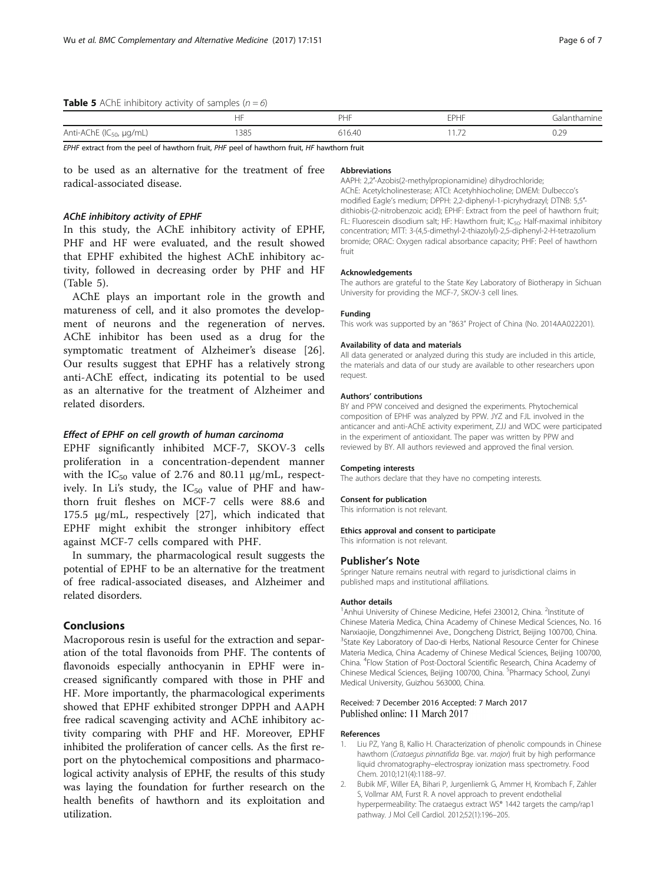## <span id="page-5-0"></span>**Table 5** AChE inhibitory activity of samples  $(n=6)$

|                                      | $\blacksquare$<br>Пr                                                                                            | DЦ     | EDHE                     | Galanthamine |
|--------------------------------------|-----------------------------------------------------------------------------------------------------------------|--------|--------------------------|--------------|
| Anti-AChE (IC <sub>50</sub> , µg/mL) | 1385                                                                                                            | 616.40 | $\overline{\phantom{a}}$ | U.ZJ         |
|                                      | the contract of the contract of the contract of the contract of the contract of the contract of the contract of |        |                          |              |

EPHF extract from the peel of hawthorn fruit, PHF peel of hawthorn fruit, HF hawthorn fruit

to be used as an alternative for the treatment of free radical-associated disease.

### AChE inhibitory activity of EPHF

In this study, the AChE inhibitory activity of EPHF, PHF and HF were evaluated, and the result showed that EPHF exhibited the highest AChE inhibitory activity, followed in decreasing order by PHF and HF (Table 5).

AChE plays an important role in the growth and matureness of cell, and it also promotes the development of neurons and the regeneration of nerves. AChE inhibitor has been used as a drug for the symptomatic treatment of Alzheimer's disease [\[26](#page-6-0)]. Our results suggest that EPHF has a relatively strong anti-AChE effect, indicating its potential to be used as an alternative for the treatment of Alzheimer and related disorders.

# Effect of EPHF on cell growth of human carcinoma

EPHF significantly inhibited MCF-7, SKOV-3 cells proliferation in a concentration-dependent manner with the  $IC_{50}$  value of 2.76 and 80.11  $\mu$ g/mL, respectively. In Li's study, the  $IC_{50}$  value of PHF and hawthorn fruit fleshes on MCF-7 cells were 88.6 and 175.5 μg/mL, respectively [\[27](#page-6-0)], which indicated that EPHF might exhibit the stronger inhibitory effect against MCF-7 cells compared with PHF.

In summary, the pharmacological result suggests the potential of EPHF to be an alternative for the treatment of free radical-associated diseases, and Alzheimer and related disorders.

## Conclusions

Macroporous resin is useful for the extraction and separation of the total flavonoids from PHF. The contents of flavonoids especially anthocyanin in EPHF were increased significantly compared with those in PHF and HF. More importantly, the pharmacological experiments showed that EPHF exhibited stronger DPPH and AAPH free radical scavenging activity and AChE inhibitory activity comparing with PHF and HF. Moreover, EPHF inhibited the proliferation of cancer cells. As the first report on the phytochemical compositions and pharmacological activity analysis of EPHF, the results of this study was laying the foundation for further research on the health benefits of hawthorn and its exploitation and utilization.

#### Abbreviations

AAPH: 2,2′-Azobis(2-methylpropionamidine) dihydrochloride; AChE: Acetylcholinesterase; ATCI: Acetyhhiocholine; DMEM: Dulbecco's modified Eagle's medium; DPPH: 2,2-diphenyl-1-picryhydrazyl; DTNB: 5,5′ dithiobis-(2-nitrobenzoic acid); EPHF: Extract from the peel of hawthorn fruit; FL: Fluorescein disodium salt; HF: Hawthorn fruit; IC<sub>50</sub>: Half-maximal inhibitory concentration; MTT: 3-(4,5-dimethyl-2-thiazolyl)-2,5-diphenyl-2-H-tetrazolium bromide; ORAC: Oxygen radical absorbance capacity; PHF: Peel of hawthorn fruit

#### Acknowledgements

The authors are grateful to the State Key Laboratory of Biotherapy in Sichuan University for providing the MCF-7, SKOV-3 cell lines.

#### Funding

This work was supported by an "863" Project of China (No. 2014AA022201).

#### Availability of data and materials

All data generated or analyzed during this study are included in this article, the materials and data of our study are available to other researchers upon request.

#### Authors' contributions

BY and PPW conceived and designed the experiments. Phytochemical composition of EPHF was analyzed by PPW. JYZ and FJL involved in the anticancer and anti-AChE activity experiment, ZJJ and WDC were participated in the experiment of antioxidant. The paper was written by PPW and reviewed by BY. All authors reviewed and approved the final version.

#### Competing interests

The authors declare that they have no competing interests.

#### Consent for publication

This information is not relevant.

#### Ethics approval and consent to participate

This information is not relevant.

#### Publisher's Note

Springer Nature remains neutral with regard to jurisdictional claims in published maps and institutional affiliations.

#### Author details

<sup>1</sup> Anhui University of Chinese Medicine, Hefei 230012, China. <sup>2</sup>Institute of Chinese Materia Medica, China Academy of Chinese Medical Sciences, No. 16 Nanxiaojie, Dongzhimennei Ave., Dongcheng District, Beijing 100700, China. <sup>3</sup>State Key Laboratory of Dao-di Herbs, National Resource Center for Chinese Materia Medica, China Academy of Chinese Medical Sciences, Beijing 100700, China. <sup>4</sup> Flow Station of Post-Doctoral Scientific Research, China Academy of Chinese Medical Sciences, Beijing 100700, China. <sup>5</sup>Pharmacy School, Zunyi Medical University, Guizhou 563000, China.

# Received: 7 December 2016 Accepted: 7 March 2017

#### References

- 1. Liu PZ, Yang B, Kallio H. Characterization of phenolic compounds in Chinese hawthorn (Crataegus pinnatifida Bge. var. major) fruit by high performance liquid chromatography–electrospray ionization mass spectrometry. Food Chem. 2010;121(4):1188–97.
- 2. Bubik MF, Willer EA, Bihari P, Jurgenliemk G, Ammer H, Krombach F, Zahler S, Vollmar AM, Furst R. A novel approach to prevent endothelial hyperpermeability: The crataegus extract WS® 1442 targets the camp/rap1 pathway. J Mol Cell Cardiol. 2012;52(1):196–205.